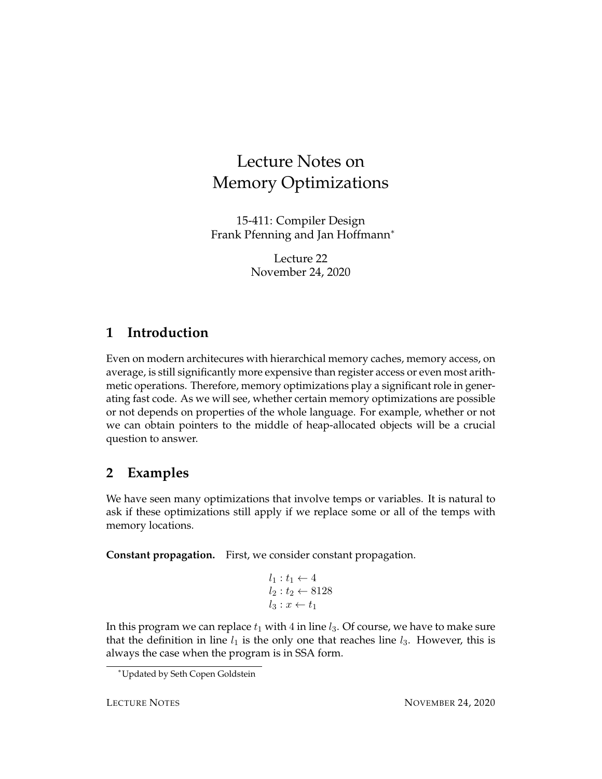# Lecture Notes on Memory Optimizations

15-411: Compiler Design Frank Pfenning and Jan Hoffmann<sup>∗</sup>

> Lecture 22 November 24, 2020

### **1 Introduction**

Even on modern architecures with hierarchical memory caches, memory access, on average, is still significantly more expensive than register access or even most arithmetic operations. Therefore, memory optimizations play a significant role in generating fast code. As we will see, whether certain memory optimizations are possible or not depends on properties of the whole language. For example, whether or not we can obtain pointers to the middle of heap-allocated objects will be a crucial question to answer.

### **2 Examples**

We have seen many optimizations that involve temps or variables. It is natural to ask if these optimizations still apply if we replace some or all of the temps with memory locations.

**Constant propagation.** First, we consider constant propagation.

$$
l_1: t_1 \leftarrow 4
$$
  

$$
l_2: t_2 \leftarrow 8128
$$
  

$$
l_3: x \leftarrow t_1
$$

In this program we can replace  $t_1$  with 4 in line  $l_3$ . Of course, we have to make sure that the definition in line  $l_1$  is the only one that reaches line  $l_3$ . However, this is always the case when the program is in SSA form.

<sup>∗</sup>Updated by Seth Copen Goldstein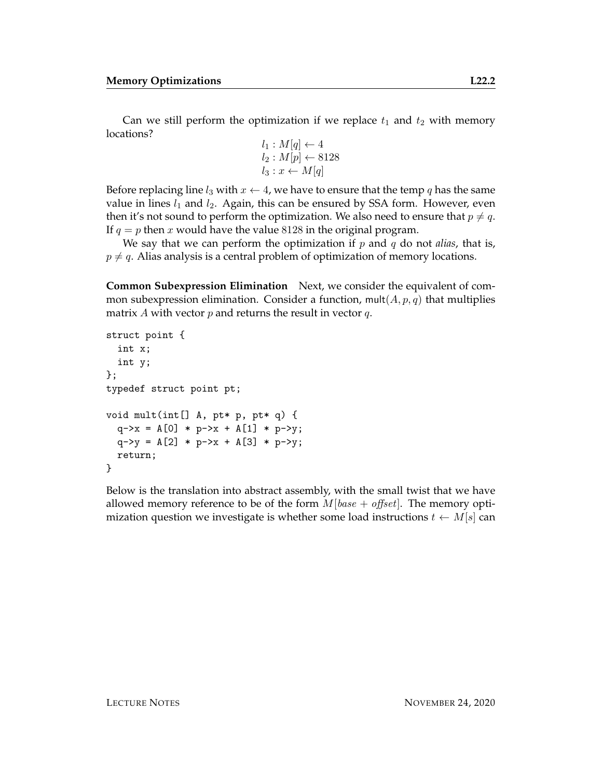Can we still perform the optimization if we replace  $t_1$  and  $t_2$  with memory locations?

$$
l_1: M[q] \leftarrow 4
$$
  

$$
l_2: M[p] \leftarrow 8128
$$
  

$$
l_3: x \leftarrow M[q]
$$

Before replacing line  $l_3$  with  $x \leftarrow 4$ , we have to ensure that the temp q has the same value in lines  $l_1$  and  $l_2$ . Again, this can be ensured by SSA form. However, even then it's not sound to perform the optimization. We also need to ensure that  $p \neq q$ . If  $q = p$  then x would have the value 8128 in the original program.

We say that we can perform the optimization if  $p$  and  $q$  do not *alias*, that is,  $p \neq q$ . Alias analysis is a central problem of optimization of memory locations.

**Common Subexpression Elimination** Next, we consider the equivalent of common subexpression elimination. Consider a function, mult $(A, p, q)$  that multiplies matrix A with vector  $p$  and returns the result in vector  $q$ .

```
struct point {
  int x;
  int y;
};
typedef struct point pt;
void mult(int[] A, pt* p, pt* q) {
  q \rightarrow x = A[0] * p \rightarrow x + A[1] * p \rightarrow y;q - y = A[2] * p - x + A[3] * p - y;return;
}
```
Below is the translation into abstract assembly, with the small twist that we have allowed memory reference to be of the form  $M|base + offset|$ . The memory optimization question we investigate is whether some load instructions  $t \leftarrow M[s]$  can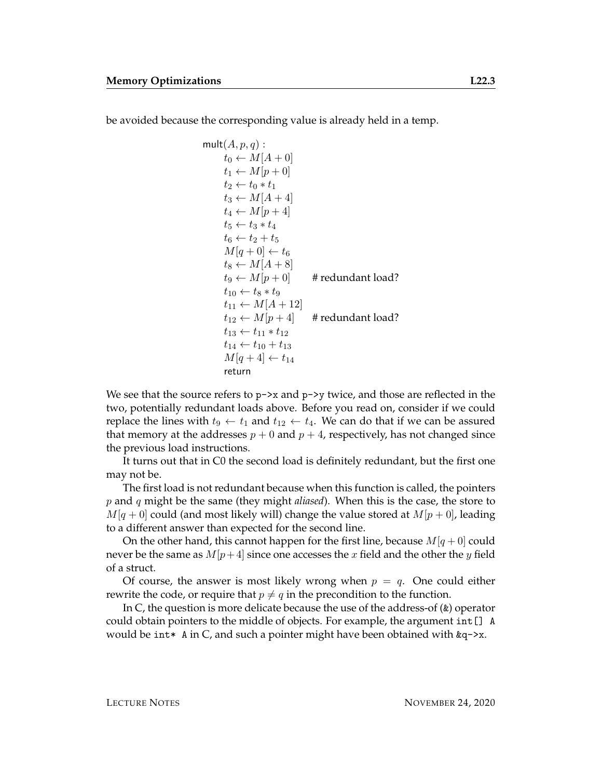be avoided because the corresponding value is already held in a temp.

$$
\begin{array}{l}\n\text{mult}(A, p, q): \\
t_0 \leftarrow M[A + 0] \\
t_1 \leftarrow M[p + 0] \\
t_2 \leftarrow t_0 * t_1 \\
t_3 \leftarrow M[A + 4] \\
t_4 \leftarrow M[p + 4] \\
t_5 \leftarrow t_3 * t_4 \\
t_6 \leftarrow t_2 + t_5 \\
M[q + 0] \leftarrow t_6 \\
t_8 \leftarrow M[A + 8] \\
t_9 \leftarrow M[p + 0] \\
t_1 \leftarrow t_8 * t_9 \\
t_{11} \leftarrow M[A + 12] \\
t_{12} \leftarrow M[p + 4] \\
t_{13} \leftarrow t_{11} * t_{12} \\
t_{14} \leftarrow t_{10} + t_{13} \\
M[q + 4] \leftarrow t_{14} \\
\text{return}\n\end{array}
$$

We see that the source refers to  $p\rightarrow x$  and  $p\rightarrow y$  twice, and those are reflected in the two, potentially redundant loads above. Before you read on, consider if we could replace the lines with  $t_9 \leftarrow t_1$  and  $t_{12} \leftarrow t_4$ . We can do that if we can be assured that memory at the addresses  $p + 0$  and  $p + 4$ , respectively, has not changed since the previous load instructions.

It turns out that in C0 the second load is definitely redundant, but the first one may not be.

The first load is not redundant because when this function is called, the pointers p and q might be the same (they might *aliased*). When this is the case, the store to  $M[q + 0]$  could (and most likely will) change the value stored at  $M[p + 0]$ , leading to a different answer than expected for the second line.

On the other hand, this cannot happen for the first line, because  $M[q + 0]$  could never be the same as  $M[p+4]$  since one accesses the x field and the other the y field of a struct.

Of course, the answer is most likely wrong when  $p = q$ . One could either rewrite the code, or require that  $p \neq q$  in the precondition to the function.

In C, the question is more delicate because the use of the address-of (&) operator could obtain pointers to the middle of objects. For example, the argument int[] A would be int\* A in C, and such a pointer might have been obtained with  $\&q$ ->x.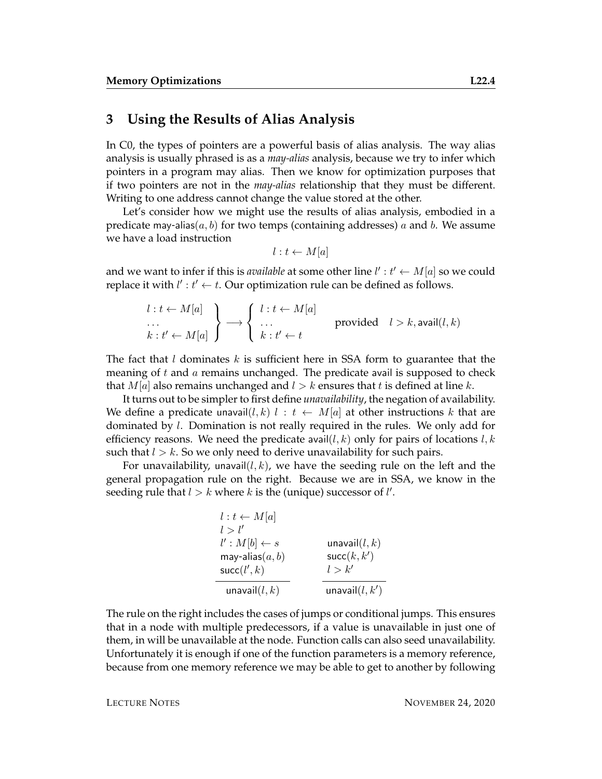#### **3 Using the Results of Alias Analysis**

In C0, the types of pointers are a powerful basis of alias analysis. The way alias analysis is usually phrased is as a *may-alias* analysis, because we try to infer which pointers in a program may alias. Then we know for optimization purposes that if two pointers are not in the *may-alias* relationship that they must be different. Writing to one address cannot change the value stored at the other.

Let's consider how we might use the results of alias analysis, embodied in a predicate may-alias( $a, b$ ) for two temps (containing addresses) a and b. We assume we have a load instruction

$$
l: t \leftarrow M[a]
$$

and we want to infer if this is *available* at some other line  $l' : t' \leftarrow M[a]$  so we could replace it with  $l' : t' \leftarrow t$ . Our optimization rule can be defined as follows.

$$
\begin{array}{l}\n l: t \leftarrow M[a] \\
 \ldots \\
 k: t' \leftarrow M[a] \n \end{array}\n \right\} \longrightarrow\n \begin{cases}\n l: t \leftarrow M[a] \\
 \ldots \\
 k: t' \leftarrow t\n \end{cases}\n \text{provided}\n \quad l > k, \text{avail}(l, k)
$$

The fact that l dominates k is sufficient here in SSA form to guarantee that the meaning of  $t$  and  $\alpha$  remains unchanged. The predicate avail is supposed to check that  $M[a]$  also remains unchanged and  $l > k$  ensures that t is defined at line k.

It turns out to be simpler to first define *unavailability*, the negation of availability. We define a predicate unavail $(l, k)$   $l : t \leftarrow M[a]$  at other instructions k that are dominated by l. Domination is not really required in the rules. We only add for efficiency reasons. We need the predicate avail  $(l, k)$  only for pairs of locations  $l, k$ such that  $l > k$ . So we only need to derive unavailability for such pairs.

For unavailability, unavail $(l, k)$ , we have the seeding rule on the left and the general propagation rule on the right. Because we are in SSA, we know in the seeding rule that  $l > k$  where k is the (unique) successor of  $l'$ .

| $l : t \leftarrow M[a]$ |                   |
|-------------------------|-------------------|
| l > l'                  |                   |
| $l': M[b] \leftarrow s$ | unavail $(l, k)$  |
| may-alias $(a, b)$      | succ(k, k')       |
| succ(l', k)             | l > k'            |
| unavail $(l,k)$         | unavail $(l, k')$ |

The rule on the right includes the cases of jumps or conditional jumps. This ensures that in a node with multiple predecessors, if a value is unavailable in just one of them, in will be unavailable at the node. Function calls can also seed unavailability. Unfortunately it is enough if one of the function parameters is a memory reference, because from one memory reference we may be able to get to another by following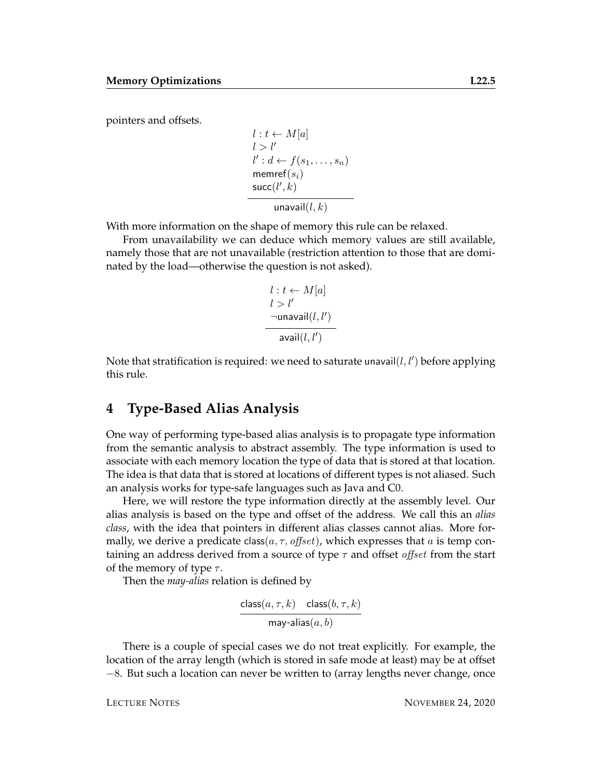pointers and offsets.

$$
l : t \leftarrow M[a]
$$
  
\n
$$
l > l'
$$
  
\n
$$
l' : d \leftarrow f(s_1, \dots, s_n)
$$
  
\n
$$
\text{member}(s_i)
$$
  
\n
$$
\text{succ}(l', k)
$$
  
\n
$$
\text{unavail}(l, k)
$$

With more information on the shape of memory this rule can be relaxed.

From unavailability we can deduce which memory values are still available, namely those that are not unavailable (restriction attention to those that are dominated by the load—otherwise the question is not asked).

$$
l : t \leftarrow M[a]
$$
  

$$
l > l'
$$
  

$$
\neg \text{unavail}(l, l')
$$
  

$$
\text{avail}(l, l')
$$

Note that stratification is required: we need to saturate unavail $(l, l')$  before applying this rule.

#### **4 Type-Based Alias Analysis**

One way of performing type-based alias analysis is to propagate type information from the semantic analysis to abstract assembly. The type information is used to associate with each memory location the type of data that is stored at that location. The idea is that data that is stored at locations of different types is not aliased. Such an analysis works for type-safe languages such as Java and C0.

Here, we will restore the type information directly at the assembly level. Our alias analysis is based on the type and offset of the address. We call this an *alias class*, with the idea that pointers in different alias classes cannot alias. More formally, we derive a predicate class( $a, \tau, \text{offset}$ ), which expresses that a is temp containing an address derived from a source of type  $\tau$  and offset *offset* from the start of the memory of type  $\tau$ .

Then the *may-alias* relation is defined by

$$
\frac{\text{class}(a, \tau, k) - \text{class}(b, \tau, k)}{\text{may-alias}(a, b)}
$$

There is a couple of special cases we do not treat explicitly. For example, the location of the array length (which is stored in safe mode at least) may be at offset −8. But such a location can never be written to (array lengths never change, once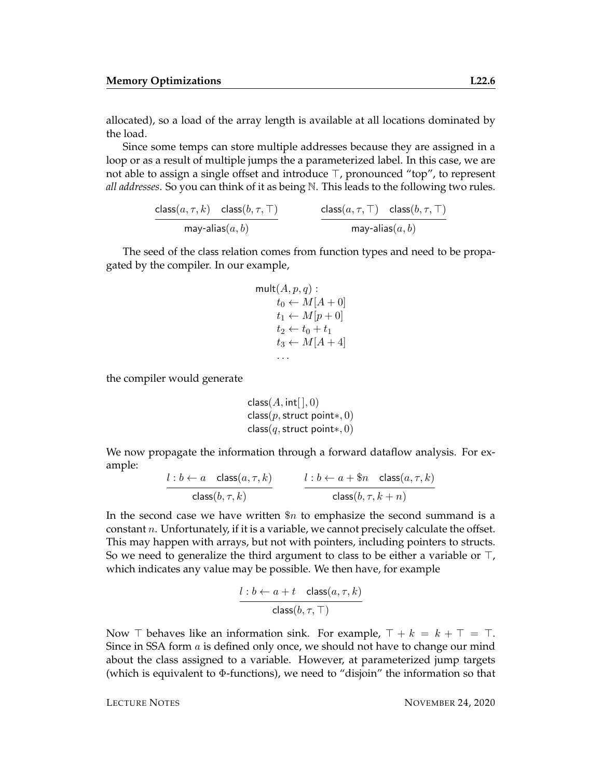allocated), so a load of the array length is available at all locations dominated by the load.

Since some temps can store multiple addresses because they are assigned in a loop or as a result of multiple jumps the a parameterized label. In this case, we are not able to assign a single offset and introduce  $\top$ , pronounced "top", to represent *all addresses*. So you can think of it as being N. This leads to the following two rules.

> $\mathsf{class}(a, \tau, k)$  class $(b, \tau, \top)$ may-alias $(a,b)$  $\mathsf{class}(a, \tau, \top)$  class $(b, \tau, \top)$ may-alias $(a,b)$

The seed of the class relation comes from function types and need to be propagated by the compiler. In our example,

$$
\begin{aligned}\n\text{mult}(A, p, q) : \\
t_0 &\leftarrow M[A + 0] \\
t_1 &\leftarrow M[p + 0] \\
t_2 &\leftarrow t_0 + t_1 \\
t_3 &\leftarrow M[A + 4]\n\end{aligned}
$$

the compiler would generate

```
class(A, int[ \,], 0)class(p,struct point*, 0)class(q,struct point*, 0)
```
We now propagate the information through a forward dataflow analysis. For example:

$$
\frac{l:b \leftarrow a \quad \text{class}(a, \tau, k)}{\text{class}(b, \tau, k)} \qquad \qquad \frac{l:b \leftarrow a + \$ n \quad \text{class}(a, \tau, k)}{\text{class}(b, \tau, k + n)}
$$

In the second case we have written  $\Re n$  to emphasize the second summand is a constant  $n$ . Unfortunately, if it is a variable, we cannot precisely calculate the offset. This may happen with arrays, but not with pointers, including pointers to structs. So we need to generalize the third argument to class to be either a variable or  $\top$ , which indicates any value may be possible. We then have, for example

$$
\frac{l:b \leftarrow a+t \quad \text{class}(a, \tau, k)}{\text{class}(b, \tau, \top)}
$$

Now  $\top$  behaves like an information sink. For example,  $\top + k = k + \top = \top$ . Since in SSA form a is defined only once, we should not have to change our mind about the class assigned to a variable. However, at parameterized jump targets (which is equivalent to Φ-functions), we need to "disjoin" the information so that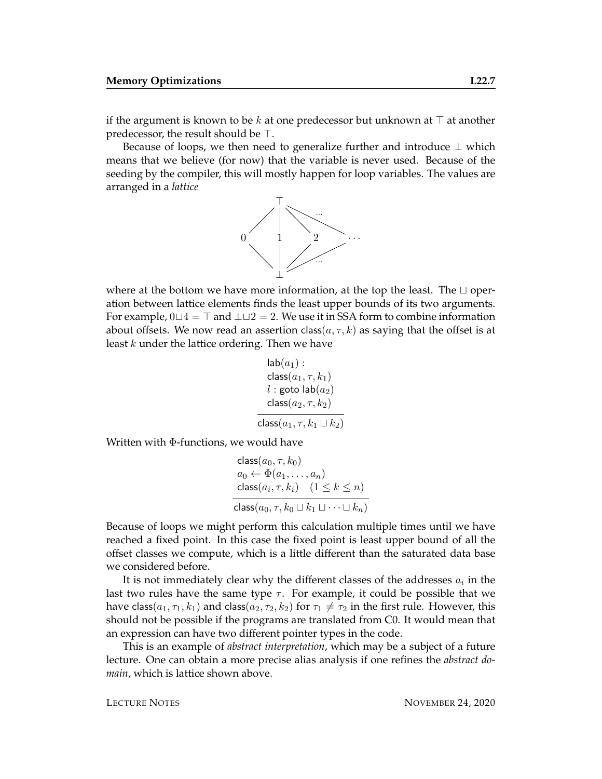if the argument is known to be k at one predecessor but unknown at  $\top$  at another predecessor, the result should be  $\top$ .

Because of loops, we then need to generalize further and introduce  $\perp$  which means that we believe (for now) that the variable is never used. Because of the seeding by the compiler, this will mostly happen for loop variables. The values are arranged in a *lattice*



where at the bottom we have more information, at the top the least. The  $\sqcup$  operation between lattice elements finds the least upper bounds of its two arguments. For example,  $0 \sqcup 4 = \top$  and  $\bot \sqcup 2 = 2$ . We use it in SSA form to combine information about offsets. We now read an assertion class( $a, \tau, k$ ) as saying that the offset is at least k under the lattice ordering. Then we have

$$
\begin{array}{l} \mathsf{lab}(a_1): \\ \mathsf{class}(a_1, \tau, k_1) \\ l:\mathsf{goto}\ \mathsf{lab}(a_2) \\ \mathsf{class}(a_2, \tau, k_2) \\ \hline \mathsf{class}(a_1, \tau, k_1 \sqcup k_2)\end{array}
$$

Written with Φ-functions, we would have

$$
\begin{aligned}\n\text{class}(a_0, \tau, k_0) \\
a_0 &\leftarrow \Phi(a_1, \dots, a_n) \\
\text{class}(a_i, \tau, k_i) \quad (1 \le k \le n) \\
\text{class}(a_0, \tau, k_0 \sqcup k_1 \sqcup \dots \sqcup k_n)\n\end{aligned}
$$

Because of loops we might perform this calculation multiple times until we have reached a fixed point. In this case the fixed point is least upper bound of all the offset classes we compute, which is a little different than the saturated data base we considered before.

It is not immediately clear why the different classes of the addresses  $a_i$  in the last two rules have the same type  $\tau$ . For example, it could be possible that we have class( $a_1, \tau_1, k_1$ ) and class( $a_2, \tau_2, k_2$ ) for  $\tau_1 \neq \tau_2$  in the first rule. However, this should not be possible if the programs are translated from C0. It would mean that an expression can have two different pointer types in the code.

This is an example of *abstract interpretation*, which may be a subject of a future lecture. One can obtain a more precise alias analysis if one refines the *abstract domain*, which is lattice shown above.